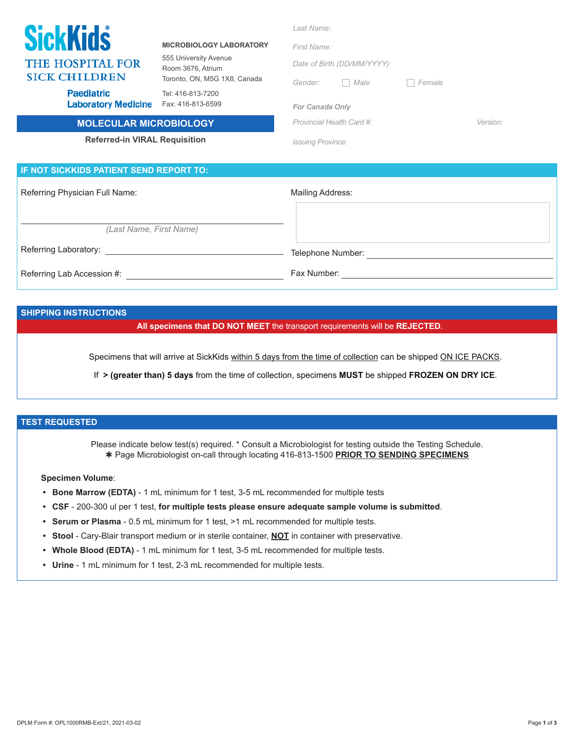| <b>SickKids</b><br><b>THE HOSPITAL FOR</b><br><b>SICK CHILDREN</b><br><b>Paediatric</b><br><b>Laboratory Medicine</b> | <b>MICROBIOLOGY LABORATORY</b><br>555 University Avenue<br>Room 3676, Atrium<br>Toronto, ON, M5G 1X8, Canada<br>Tel: 416-813-7200<br>Fax: 416-813-6599 | Last Name:<br>First Name:<br>Date of Birth (DD/MM/YYYY):<br>Male<br>Gender:<br>$\mathbb{R}^n$<br><b>For Canada Only</b> | Female   |  |  |
|-----------------------------------------------------------------------------------------------------------------------|--------------------------------------------------------------------------------------------------------------------------------------------------------|-------------------------------------------------------------------------------------------------------------------------|----------|--|--|
| <b>MOLECULAR MICROBIOLOGY</b>                                                                                         |                                                                                                                                                        | Provincial Health Card #:                                                                                               | Version: |  |  |
| <b>Referred-in VIRAL Requisition</b>                                                                                  |                                                                                                                                                        | <b>Issuing Province:</b>                                                                                                |          |  |  |
| IF NOT SICKKIDS PATIENT SEND REPORT TO:                                                                               |                                                                                                                                                        |                                                                                                                         |          |  |  |
| Referring Physician Full Name:                                                                                        |                                                                                                                                                        | Mailing Address:                                                                                                        |          |  |  |
|                                                                                                                       |                                                                                                                                                        |                                                                                                                         |          |  |  |
| (Last Name, First Name)                                                                                               |                                                                                                                                                        |                                                                                                                         |          |  |  |
| Referring Laboratory:                                                                                                 |                                                                                                                                                        | Telephone Number:                                                                                                       |          |  |  |

Referring Lab Accession #:

Fax Number:

#### **SHIPPING INSTRUCTIONS**

**All specimens that DO NOT MEET** the transport requirements will be **REJECTED**.

Specimens that will arrive at SickKids within 5 days from the time of collection can be shipped ON ICE PACKS.

If **> (greater than) 5 days** from the time of collection, specimens **MUST** be shipped **FROZEN ON DRY ICE**.

## **TEST REQUESTED**

Please indicate below test(s) required. \* Consult a Microbiologist for testing outside the Testing Schedule. Page Microbiologist on-call through locating 416-813-1500 **PRIOR TO SENDING SPECIMENS**

#### **Specimen Volume**:

- **• Bone Marrow (EDTA)**  1 mL minimum for 1 test, 3-5 mL recommended for multiple tests
- **• CSF** 200-300 ul per 1 test, **for multiple tests please ensure adequate sample volume is submitted**.
- **• Serum or Plasma** 0.5 mL minimum for 1 test, >1 mL recommended for multiple tests.
- **• Stool** Cary-Blair transport medium or in sterile container, **NOT** in container with preservative.
- **• Whole Blood (EDTA)**  1 mL minimum for 1 test, 3-5 mL recommended for multiple tests.
- **• Urine**  1 mL minimum for 1 test, 2-3 mL recommended for multiple tests.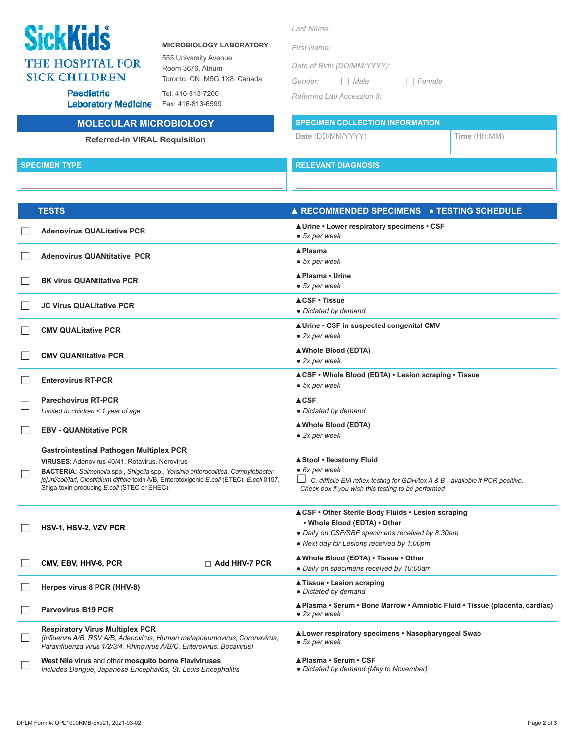# **SickKids THE HOSPITAL FOR SICK CHILDREN**

**Paediatric** 

#### **MICROBIOLOGY LABORATORY**

555 University Avenue Room 3676, Atrium Toronto, ON, M5G 1X8, Canada

Tel: 416-813-7200 **Laboratory Medicine** 

## **MOLECULAR MICROBIOLOGY**

## **Referred-in VIRAL Requisition**

Fax: 416-813-6599

### *Last Name:*

*First Name:* 

*Date of Birth (DD/MM/YYYY):*

*Gender: Male Female*

*Referring Lab Accession #:*

**SPECIMEN COLLECTION INFORMATION**

**Date** (DD/MM/YYYY) **Time** (HH:MM)

**SPECIMEN TYPE RELEVANT DIAGNOSIS**

| $\Box$ | <b>Adenovirus QUALitative PCR</b>                                                                                                                                                                                                                                                                                                             | <b>A Urine • Lower respiratory specimens • CSF</b><br>$\bullet$ 5x per week                                                                                                                  |
|--------|-----------------------------------------------------------------------------------------------------------------------------------------------------------------------------------------------------------------------------------------------------------------------------------------------------------------------------------------------|----------------------------------------------------------------------------------------------------------------------------------------------------------------------------------------------|
| $\Box$ | <b>Adenovirus QUANtitative PCR</b>                                                                                                                                                                                                                                                                                                            | <b>A</b> Plasma<br>• 5x per week                                                                                                                                                             |
| $\Box$ | <b>BK virus QUANtitative PCR</b>                                                                                                                                                                                                                                                                                                              | ▲Plasma • Urine<br>• 5x per week                                                                                                                                                             |
| $\Box$ | <b>JC Virus QUALitative PCR</b>                                                                                                                                                                                                                                                                                                               | <b>ACSF • Tissue</b><br>• Dictated by demand                                                                                                                                                 |
| $\Box$ | <b>CMV QUALitative PCR</b>                                                                                                                                                                                                                                                                                                                    | <b>A Urine • CSF in suspected congenital CMV</b><br>$\bullet$ 2x per week                                                                                                                    |
| $\Box$ | <b>CMV QUANtitative PCR</b>                                                                                                                                                                                                                                                                                                                   | ▲ Whole Blood (EDTA)<br>$\bullet$ 2x per week                                                                                                                                                |
|        | <b>Enterovirus RT-PCR</b>                                                                                                                                                                                                                                                                                                                     | <b>ACSF • Whole Blood (EDTA) • Lesion scraping • Tissue</b><br>$\bullet$ 5x per week                                                                                                         |
|        | <b>Parechovirus RT-PCR</b><br>Limited to children $\leq$ 1 year of age                                                                                                                                                                                                                                                                        | <b>ACSF</b><br>• Dictated by demand                                                                                                                                                          |
| $\Box$ | <b>EBV - QUANtitative PCR</b>                                                                                                                                                                                                                                                                                                                 | ▲ Whole Blood (EDTA)<br>$\bullet$ 2x per week                                                                                                                                                |
|        | <b>Gastrointestinal Pathogen Multiplex PCR</b><br>VIRUSES: Adenovirus 40/41, Rotavirus, Norovirus<br><b>BACTERIA:</b> Salmonella spp., Shigella spp., Yersinia enterocolitica, Campylobacter<br>jejuni/coli/lari, Clostridium difficle toxin A/B, Enterotoxigenic E.coli (ETEC), E.coli 0157,<br>Shiga-toxin producing E.coli (STEC or EHEC). | ▲ Stool • Ileostomy Fluid<br>• 6x per week<br>$\Box$<br>C. difficile EIA reflex testing for GDH/tox A & B - available if PCR positive.<br>Check box if you wish this testing to be performed |
| $\Box$ | HSV-1, HSV-2, VZV PCR                                                                                                                                                                                                                                                                                                                         | <b>ACSF • Other Sterile Body Fluids • Lesion scraping</b><br>. Whole Blood (EDTA) . Other<br>• Daily on CSF/SBF specimens received by 8:30am<br>• Next day for Lesions received by 1:00pm    |
| $\Box$ | CMV, EBV, HHV-6, PCR<br>$\Box$ Add HHV-7 PCR                                                                                                                                                                                                                                                                                                  | A Whole Blood (EDTA) • Tissue • Other<br>• Daily on specimens received by 10:00am                                                                                                            |
| $\Box$ | Herpes virus 8 PCR (HHV-8)                                                                                                                                                                                                                                                                                                                    | <b>A Tissue • Lesion scraping</b><br>· Dictated by demand                                                                                                                                    |
| $\Box$ | <b>Parvovirus B19 PCR</b>                                                                                                                                                                                                                                                                                                                     | ▲Plasma • Serum • Bone Marrow • Amniotic Fluid • Tissue (placenta, cardiac)<br>$\bullet$ 2x per week                                                                                         |
|        | <b>Respiratory Virus Multiplex PCR</b><br>(Influenza A/B, RSV A/B, Adenovirus, Human metapneumovirus, Coronavirus,<br>Parainfluenza virus 1/2/3/4, Rhinovirus A/B/C, Enterovirus, Bocavirus)                                                                                                                                                  | ▲ Lower respiratory specimens • Nasopharyngeal Swab<br>$\bullet$ 5x per week                                                                                                                 |

**▲Plasma • Serum • CSF**

**●** *Dictated by demand (May to November)*

 **TESTS ▲ RECOMMENDED SPECIMENS ● TESTING SCHEDULE**

**West Nile virus** and other **mosquito borne Flaviviruses**

*Includes Dengue, Japanese Encephalitis, St. Louis Encephalitis*